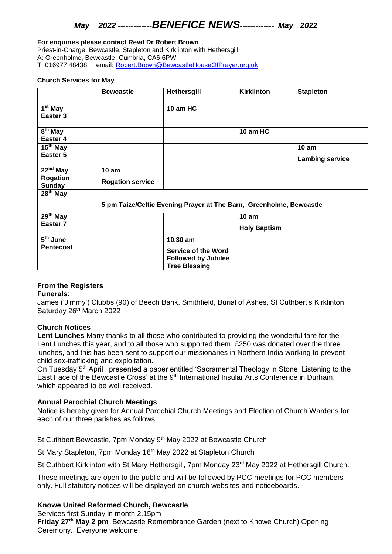# *May 2022 -------------BENEFICE NEWS------------- May 2022*

#### **For enquiries please contact Revd Dr Robert Brown**

Priest-in-Charge, Bewcastle, Stapleton and Kirklinton with Hethersgill A: Greenholme, Bewcastle, Cumbria, CA6 6PW T: 016977 48438 email: [Robert.Brown@BewcastleHouseOfPrayer.org.uk](mailto:Robert.Brown@BewcastleHouseOfPrayer.org.uk)

#### **Church Services for May**

|                                     | <b>Bewcastle</b>                                                    | <b>Hethersgill</b>                                                               | <b>Kirklinton</b>   | <b>Stapleton</b>       |
|-------------------------------------|---------------------------------------------------------------------|----------------------------------------------------------------------------------|---------------------|------------------------|
| 1 <sup>st</sup> May<br>Easter 3     |                                                                     | 10 am HC                                                                         |                     |                        |
| $\overline{8^{th}}$ May<br>Easter 4 |                                                                     |                                                                                  | 10 am HC            |                        |
| $15th$ May                          |                                                                     |                                                                                  |                     | 10 <sub>am</sub>       |
| Easter 5                            |                                                                     |                                                                                  |                     | <b>Lambing service</b> |
| $\overline{22}^{\text{nd}}$ May     | 10 am                                                               |                                                                                  |                     |                        |
| Rogation<br><b>Sunday</b>           | <b>Rogation service</b>                                             |                                                                                  |                     |                        |
| $28th$ May                          |                                                                     |                                                                                  |                     |                        |
|                                     | 5 pm Taize/Celtic Evening Prayer at The Barn, Greenholme, Bewcastle |                                                                                  |                     |                        |
| $29th$ May                          |                                                                     |                                                                                  | 10 am               |                        |
| Easter <sub>7</sub>                 |                                                                     |                                                                                  | <b>Holy Baptism</b> |                        |
| $\overline{5}^{\text{th}}$ June     |                                                                     | 10.30 am                                                                         |                     |                        |
| <b>Pentecost</b>                    |                                                                     | <b>Service of the Word</b><br><b>Followed by Jubilee</b><br><b>Tree Blessing</b> |                     |                        |

## **From the Registers**

### **Funerals**:

James ('Jimmy') Clubbs (90) of Beech Bank, Smithfield, Burial of Ashes, St Cuthbert's Kirklinton, Saturday 26<sup>th</sup> March 2022

### **Church Notices**

**Lent Lunches** Many thanks to all those who contributed to providing the wonderful fare for the Lent Lunches this year, and to all those who supported them. £250 was donated over the three lunches, and this has been sent to support our missionaries in Northern India working to prevent child sex-trafficking and exploitation.

On Tuesday 5<sup>th</sup> April I presented a paper entitled 'Sacramental Theology in Stone: Listening to the East Face of the Bewcastle Cross' at the 9<sup>th</sup> International Insular Arts Conference in Durham, which appeared to be well received.

## **Annual Parochial Church Meetings**

Notice is hereby given for Annual Parochial Church Meetings and Election of Church Wardens for each of our three parishes as follows:

St Cuthbert Bewcastle, 7pm Monday 9<sup>th</sup> May 2022 at Bewcastle Church

St Mary Stapleton, 7pm Monday 16<sup>th</sup> May 2022 at Stapleton Church

St Cuthbert Kirklinton with St Mary Hethersgill, 7pm Monday 23<sup>rd</sup> May 2022 at Hethersgill Church.

These meetings are open to the public and will be followed by PCC meetings for PCC members only. Full statutory notices will be displayed on church websites and noticeboards.

## **Knowe United Reformed Church, Bewcastle**

Services first Sunday in month 2.15pm **Friday 27th May 2 pm** Bewcastle Remembrance Garden (next to Knowe Church) Opening Ceremony. Everyone welcome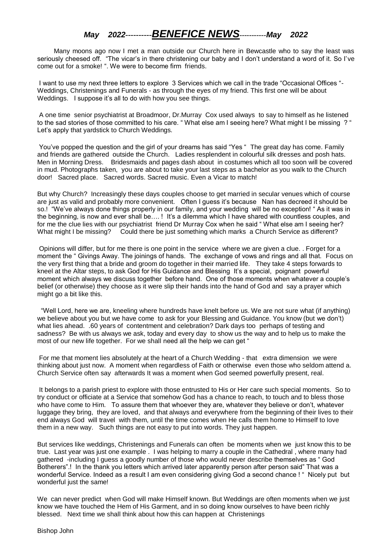# *May 2022----------BENEFICE NEWS-----------May 2022*

 Many moons ago now I met a man outside our Church here in Bewcastle who to say the least was seriously cheesed off. "The vicar's in there christening our baby and I don't understand a word of it. So I've come out for a smoke! ". We were to become firm friends.

I want to use my next three letters to explore 3 Services which we call in the trade "Occasional Offices "- Weddings, Christenings and Funerals - as through the eyes of my friend. This first one will be about Weddings. I suppose it's all to do with how you see things.

A one time senior psychiatrist at Broadmoor, Dr.Murray Cox used always to say to himself as he listened to the sad stories of those committed to his care. " What else am I seeing here? What might I be missing ? " Let's apply that yardstick to Church Weddings.

You've popped the question and the girl of your dreams has said "Yes " The great day has come. Family and friends are gathered outside the Church. Ladies resplendent in colourful silk dresses and posh hats. Men in Morning Dress. Bridesmaids and pages dash about in costumes which all too soon will be covered in mud. Photographs taken, you are about to take your last steps as a bachelor as you walk to the Church door! Sacred place. Sacred words. Sacred music. Even a Vicar to match!

But why Church? Increasingly these days couples choose to get married in secular venues which of course are just as valid and probably more convenient. Often I guess it's because Nan has decreed it should be so.! "We've always done things properly in our family, and your wedding will be no exception! " As it was in the beginning, is now and ever shall be…. ! It's a dilemma which I have shared with countless couples, and for me the clue lies with our psychiatrist friend Dr Murray Cox when he said " What else am I seeing her? What might I be missing? Could there be just something which marks a Church Service as different?

Opinions will differ, but for me there is one point in the service where we are given a clue. . Forget for a moment the " Givings Away. The joinings of hands. The exchange of vows and rings and all that. Focus on the very first thing that a bride and groom do together in their married life. They take 4 steps forwards to kneel at the Altar steps, to ask God for His Guidance and Blessing It's a special, poignant powerful moment which always we discuss together before hand. One of those moments when whatever a couple's belief (or otherwise) they choose as it were slip their hands into the hand of God and say a prayer which might go a bit like this.

"Well Lord, here we are, kneeling where hundreds have knelt before us. We are not sure what (if anything) we believe about you but we have come to ask for your Blessing and Guidance. You know (but we don't) what lies ahead. .60 years of contentment and celebration? Dark days too perhaps of testing and sadness? Be with us always we ask, today and every day to show us the way and to help us to make the most of our new life together. For we shall need all the help we can get "

For me that moment lies absolutely at the heart of a Church Wedding - that extra dimension we were thinking about just now. A moment when regardless of Faith or otherwise even those who seldom attend a. Church Service often say afterwards It was a moment when God seemed powerfully present, real.

It belongs to a parish priest to explore with those entrusted to His or Her care such special moments. So to try conduct or officiate at a Service that somehow God has a chance to reach, to touch and to bless those who have come to Him. To assure them that whoever they are, whatever they believe or don't, whatever luggage they bring, they are loved, and that always and everywhere from the beginning of their lives to their end always God will travel with them, until the time comes when He calls them home to Himself to love them in a new way. Such things are not easy to put into words. They just happen.

But services like weddings, Christenings and Funerals can often be moments when we just know this to be true. Last year was just one example . I was helping to marry a couple in the Cathedral , where many had gathered -including I guess a goodly number of those who would never describe themselves as " God Botherers".! In the thank you letters which arrived later apparently person after person said" That was a wonderful Service. Indeed as a result I am even considering giving God a second chance ! " Nicely put but wonderful just the same!

We can never predict when God will make Himself known. But Weddings are often moments when we just know we have touched the Hem of His Garment, and in so doing know ourselves to have been richly blessed. Next time we shall think about how this can happen at Christenings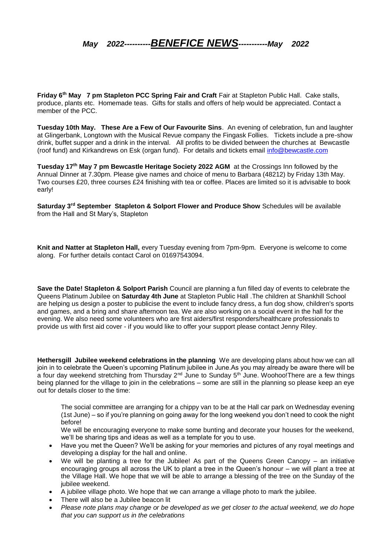*May 2022----------BENEFICE NEWS-----------May 2022*

**Friday 6th May 7 pm Stapleton PCC Spring Fair and Craft** Fair at Stapleton Public Hall. Cake stalls, produce, plants etc. Homemade teas. Gifts for stalls and offers of help would be appreciated. Contact a member of the PCC.

**Tuesday 10th May. These Are a Few of Our Favourite Sins**. An evening of celebration, fun and laughter at Glingerbank, Longtown with the Musical Revue company the Fingask Follies. Tickets include a pre-show drink, buffet supper and a drink in the interval. All profits to be divided between the churches at Bewcastle (roof fund) and Kirkandrews on Esk (organ fund). For details and tickets email [info@bewcastle.com](mailto:info@bewcastle.com)

**Tuesday 17th May 7 pm Bewcastle Heritage Society 2022 AGM** at the Crossings Inn followed by the Annual Dinner at 7.30pm. Please give names and choice of menu to Barbara (48212) by Friday 13th May. Two courses £20, three courses £24 finishing with tea or coffee. Places are limited so it is advisable to book early!

**Saturday 3rd September Stapleton & Solport Flower and Produce Show** Schedules will be available from the Hall and St Mary's, Stapleton

**Knit and Natter at Stapleton Hall,** every Tuesday evening from 7pm-9pm. Everyone is welcome to come along. For further details contact Carol on 01697543094.

**Save the Date! Stapleton & Solport Parish** Council are planning a fun filled day of events to celebrate the Queens Platinum Jubilee on **Saturday 4th June** at Stapleton Public Hall .The children at Shankhill School are helping us design a poster to publicise the event to include fancy dress, a fun dog show, children's sports and games, and a bring and share afternoon tea. We are also working on a social event in the hall for the evening. We also need some volunteers who are first aiders/first responders/healthcare professionals to provide us with first aid cover - if you would like to offer your support please contact Jenny Riley.

**Hethersgill Jubilee weekend celebrations in the planning** We are developing plans about how we can all join in to celebrate the Queen's upcoming Platinum jubilee in June.As you may already be aware there will be a four day weekend stretching from Thursday  $2^{nd}$  June to Sunday  $5^{th}$  June. Woohoo! There are a few things being planned for the village to join in the celebrations – some are still in the planning so please keep an eye out for details closer to the time:

The social committee are arranging for a chippy van to be at the Hall car park on Wednesday evening (1st June) – so if you're planning on going away for the long weekend you don't need to cook the night before!

We will be encouraging everyone to make some bunting and decorate your houses for the weekend, we'll be sharing tips and ideas as well as a template for you to use.

- Have you met the Queen? We'll be asking for your memories and pictures of any royal meetings and developing a display for the hall and online.
- We will be planting a tree for the Jubilee! As part of the Queens Green Canopy an initiative encouraging groups all across the UK to plant a tree in the Queen's honour – we will plant a tree at the Village Hall. We hope that we will be able to arrange a blessing of the tree on the Sunday of the jubilee weekend.
- A jubilee village photo. We hope that we can arrange a village photo to mark the jubilee.
- There will also be a Jubilee beacon lit
- *Please note plans may change or be developed as we get closer to the actual weekend, we do hope that you can support us in the celebrations*